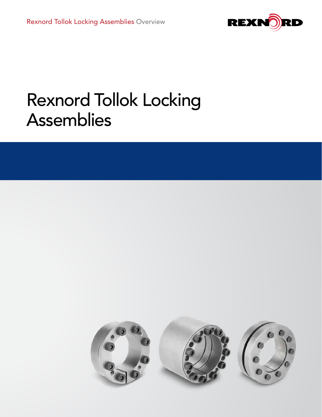

# Rexnord Tollok Locking Assemblies

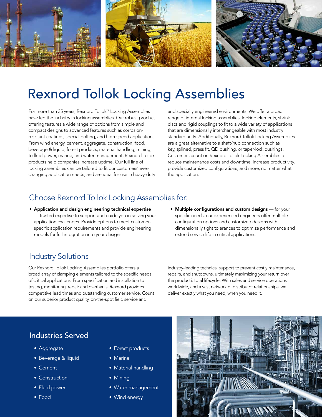

# Rexnord Tollok Locking Assemblies

For more than 35 years, Rexnord Tollok™ Locking Assemblies have led the industry in locking assemblies. Our robust product offering features a wide range of options from simple and compact designs to advanced features such as corrosionresistant coatings, special bolting, and high-speed applications. From wind energy, cement, aggregate, construction, food, beverage & liquid, forest products, material handling, mining, to fluid power, marine, and water management, Rexnord Tollok products help companies increase uptime. Our full line of locking assemblies can be tailored to fit our customers' everchanging application needs, and are ideal for use in heavy-duty and specially engineered environments. We offer a broad range of internal locking assemblies, locking elements, shrink discs and rigid couplings to fit to a wide variety of applications that are dimensionally interchangeable with most industry standard units. Additionally, Rexnord Tollok Locking Assemblies are a great alternative to a shaft/hub connection such as key, splined, press fit, QD bushing, or taper-lock bushings. Customers count on Rexnord Tollok Locking Assemblies to reduce maintenance costs and downtime, increase productivity, provide customized configurations, and more, no matter what the application.

# Choose Rexnord Tollok Locking Assemblies for:

- Application and design engineering technical expertise — trusted expertise to support and guide you in solving your application challenges. Provide options to meet customerspecific application requirements and provide engineering models for full integration into your designs.
- Multiple configurations and custom designs for your specific needs, our experienced engineers offer multiple configuration options and customized designs with dimensionally tight tolerances to optimize performance and extend service life in critical applications.

# Industry Solutions

Our Rexnord Tollok Locking Assemblies portfolio offers a broad array of clamping elements tailored to the specific needs of critical applications. From specification and installation to testing, monitoring, repair and overhauls, Rexnord provides competitive lead times and outstanding customer service. Count on our superior product quality, on-the-spot field service and

industry-leading technical support to prevent costly maintenance, repairs, and shutdowns, ultimately maximizing your return over the product's total lifecycle. With sales and service operations worldwide, and a vast network of distributor relationships, we deliver exactly what you need, when you need it.

## Industries Served

- Aggregate
- Beverage & liquid
- Cement
- Construction
- Fluid power
- Food
- Forest products
- Marine
- Material handling
- Mining
- Water management
- Wind energy

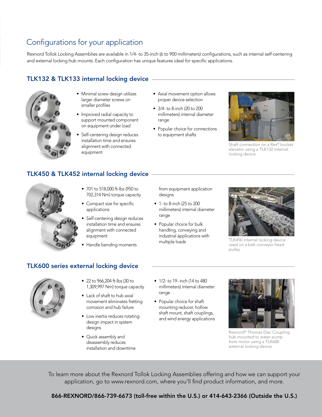# Configurations for your application

Rexnord Tollok Locking Assemblies are available in 1/4- to 35-inch (6 to 900 millimeters) configurations, such as internal self-centering and external locking hub mounts. Each configuration has unique features ideal for specific applications.

### TLK132 & TLK133 internal locking device



- Minimal screw design utilizes larger diameter screws on smaller profiles
- Improved radial capacity to support mounted component on equipment under load
- Self-centering design reduces installation time and ensures alignment with connected equipment
- Axial movement option allows proper device selection
- 3/4- to 8-inch (20 to 200 millimeters) internal diameter range
- Popular choice for connections to equipment shafts



Shaft connection on a Rex® bucket elevator using a TLK132 internal locking device

### TLK450 & TLK452 internal locking device

- 701 to 518,000 ft-lbs (950 to 702,314 Nm) torque capacity
- Compact size for specific applications
- Self-centering design reduces installation time and ensures alignment with connected equipment
- Handle bending moments

from equipment application designs

- 1- to 8-inch (25 to 200 millimeters) internal diameter range
- Popular choice for bulk handling, conveying and industrial applications with multiple loads



TLK450 internal locking device used on a belt conveyor head pulley

# TLK600 series external locking device



- 22 to 966,204 ft-lbs (30 to 1,309,997 Nm) torque capacity
- Lack of shaft to hub axial movement eliminates fretting corrosion and hub failure
- Low inertia reduces rotating design impact in system designs
- Quick assembly and disassembly reduces installation and downtime
- 1/2- to 19- inch (14 to 480 millimeters) internal diameter range
- Popular choice for shaft mounting reducer, hollow shaft mount, shaft couplings, and wind energy applications



Rexnord® Thomas Disc Coupling hub mounted to water pump from motor using a TLK600 external locking device

To learn more about the Rexnord Tollok Locking Assemblies offering and how we can support your application, go to www.rexnord.com, where you'll find product information, and more.

866-REXNORD/866-739-6673 (toll-free within the U.S.) or 414-643-2366 (Outside the U.S.)